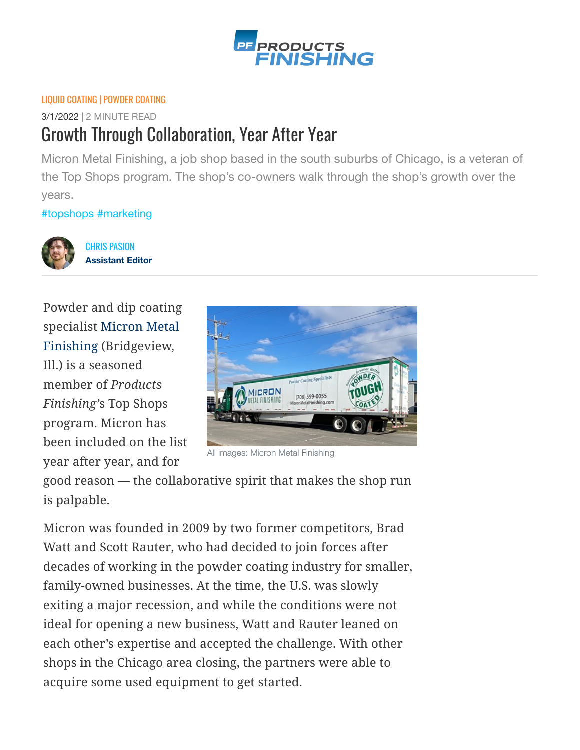

## [LIQUID COATING](https://www.pfonline.com/zones/painting) | [POWDER COATING](https://www.pfonline.com/zones/powder)

3/1/2022 | 2 MINUTE READ

## Growth Through Collaboration, Year After Year

Micron Metal Finishing, a job shop based in the south suburbs of Chicago, is a veteran of the Top Shops program. The shop's co-owners walk through the shop's growth over the years.

[#topshops](https://www.pfonline.com/hashtag/topshops) [#marketing](https://www.pfonline.com/hashtag/marketing)



CHRIS PASION **Assistant Editor**

Powder and dip coating [specialist Micron Metal](https://micronmetalfinishing.com/index.html) Finishing (Bridgeview, Ill.) is a seasoned member of *Products Finishing'*s Top Shops program. Micron has been included on the list year after year, and for



All images: Micron Metal Finishing

good reason — the collaborative spirit that makes the shop run is palpable.

Micron was founded in 2009 by two former competitors, Brad Watt and Scott Rauter, who had decided to join forces after decades of working in the powder coating industry for smaller, family-owned businesses. At the time, the U.S. was slowly exiting a major recession, and while the conditions were not ideal for opening a new business, Watt and Rauter leaned on each other's expertise and accepted the challenge. With other shops in the Chicago area closing, the partners were able to acquire some used equipment to get started.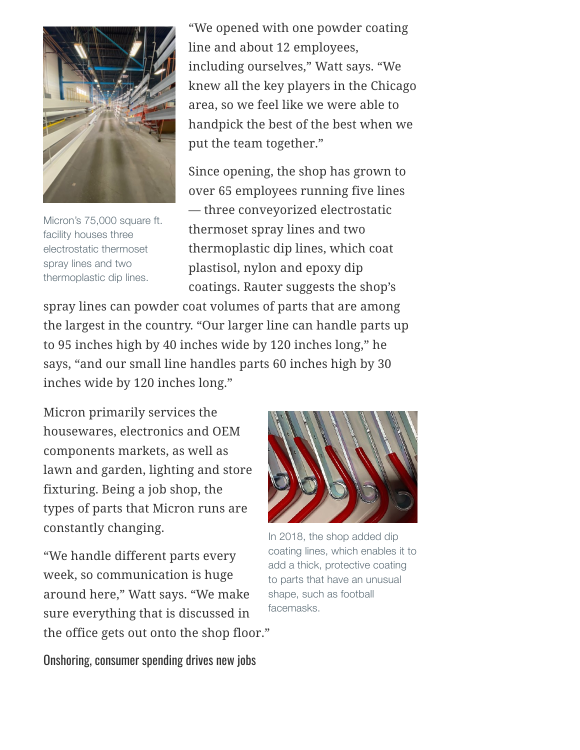

Micron's 75,000 square ft. facility houses three electrostatic thermoset spray lines and two thermoplastic dip lines.

"We opened with one powder coating line and about 12 employees, including ourselves," Watt says. "We knew all the key players in the Chicago area, so we feel like we were able to handpick the best of the best when we put the team together."

Since opening, the shop has grown to over 65 employees running five lines — three conveyorized electrostatic thermoset spray lines and two thermoplastic dip lines, which coat plastisol, nylon and epoxy dip coatings. Rauter suggests the shop's

spray lines can powder coat volumes of parts that are among the largest in the country. "Our larger line can handle parts up to 95 inches high by 40 inches wide by 120 inches long," he says, "and our small line handles parts 60 inches high by 30 inches wide by 120 inches long."

Micron primarily services the housewares, electronics and OEM components markets, as well as lawn and garden, lighting and store fixturing. Being a job shop, the types of parts that Micron runs are constantly changing.

"We handle different parts every week, so communication is huge around here," Watt says. "We make sure everything that is discussed in the office gets out onto the shop floor."



In 2018, the shop added dip coating lines, which enables it to add a thick, protective coating to parts that have an unusual shape, such as football facemasks.

Onshoring, consumer spending drives new jobs